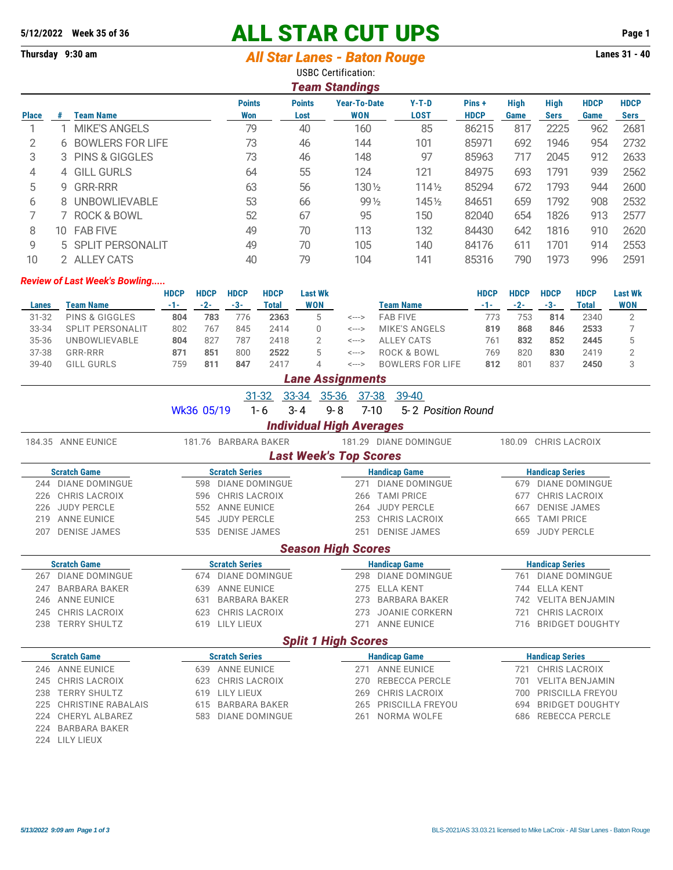## **5/12/2022 Week 35 of 36 ALL STAR CUT UPS Page 1**

## **Thursday 9:30 am** *All Star Lanes - Baton Rouge* **Lanes 31 - 40**

|                                                                                                                                                                                                                                                                            | <b>USBC Certification:</b><br><b>Team Standings</b> |                        |    |    |                 |                  |       |     |      |     |      |  |  |
|----------------------------------------------------------------------------------------------------------------------------------------------------------------------------------------------------------------------------------------------------------------------------|-----------------------------------------------------|------------------------|----|----|-----------------|------------------|-------|-----|------|-----|------|--|--|
| <b>High</b><br><b>Points</b><br><b>Year-To-Date</b><br>$Y-T-D$<br>High<br><b>HDCP</b><br><b>HDCP</b><br><b>Points</b><br>Pins+<br><b>WON</b><br>LOST<br><b>HDCP</b><br><b>Team Name</b><br>Won<br><b>Sers</b><br><b>Place</b><br><b>Sers</b><br>Game<br>Lost<br>Game<br>.# |                                                     |                        |    |    |                 |                  |       |     |      |     |      |  |  |
|                                                                                                                                                                                                                                                                            |                                                     | <b>MIKE'S ANGELS</b>   | 79 | 40 | 160             | 85               | 86215 | 817 | 2225 | 962 | 2681 |  |  |
| 2                                                                                                                                                                                                                                                                          |                                                     | 6 BOWLERS FOR LIFE     | 73 | 46 | 144             | 101              | 85971 | 692 | 1946 | 954 | 2732 |  |  |
| 3                                                                                                                                                                                                                                                                          |                                                     | 3 PINS & GIGGLES       | 73 | 46 | 148             | 97               | 85963 | 717 | 2045 | 912 | 2633 |  |  |
| 4                                                                                                                                                                                                                                                                          |                                                     | 4 GILL GURLS           | 64 | 55 | 124             | 121              | 84975 | 693 | 1791 | 939 | 2562 |  |  |
| 5                                                                                                                                                                                                                                                                          | 9                                                   | <b>GRR-RRR</b>         | 63 | 56 | 130 1/2         | $114\frac{1}{2}$ | 85294 | 672 | 1793 | 944 | 2600 |  |  |
| 6                                                                                                                                                                                                                                                                          | 8.                                                  | <b>UNBOWLIEVABLE</b>   | 53 | 66 | $99\frac{1}{2}$ | 1451/2           | 84651 | 659 | 1792 | 908 | 2532 |  |  |
|                                                                                                                                                                                                                                                                            |                                                     | <b>ROCK &amp; BOWL</b> | 52 | 67 | 95              | 150              | 82040 | 654 | 1826 | 913 | 2577 |  |  |
| 8                                                                                                                                                                                                                                                                          | 10-                                                 | <b>FAB FIVE</b>        | 49 | 70 | 113             | 132              | 84430 | 642 | 1816 | 910 | 2620 |  |  |
| 9                                                                                                                                                                                                                                                                          |                                                     | 5 SPLIT PERSONALIT     | 49 | 70 | 105             | 140              | 84176 | 611 | 1701 | 914 | 2553 |  |  |
| 10                                                                                                                                                                                                                                                                         |                                                     | <b>ALLEY CATS</b>      | 40 | 79 | 104             | 141              | 85316 | 790 | 1973 | 996 | 2591 |  |  |

## *Review of Last Week's Bowling.....*

|           |                            | HDCP  | <b>HDCP</b> | <b>HDCP</b> | <b>HDCP</b> | Last Wk    |           |                         | HDCP | <b>HDCP</b> | <b>HDCP</b> | <b>HDCP</b> | <b>Last Wk</b> |
|-----------|----------------------------|-------|-------------|-------------|-------------|------------|-----------|-------------------------|------|-------------|-------------|-------------|----------------|
| Lanes     | Team Name                  | $-1-$ | -2-         | -3-         | Total       | <b>WON</b> | Team Name |                         | -1-  | $-2-$       | -3-         | Total       | <b>WON</b>     |
| $31 - 32$ | <b>PINS &amp; GIGGLES</b>  | 804   | 783         | 776         | 2363        |            | <--->     | <b>FAB FIVE</b>         | 773  | 753         | 814         | 2340        |                |
| 33-34     | PERSONALIT<br><b>SPLIT</b> | 802   | 767         | 845         | 2414        |            | <--->     | MIKE'S ANGELS           | 819  | 868         | 846         | 2533        |                |
| 35-36     | UNBOWLIEVABLE              | 804   | 827         | 787         | 2418        |            | <--->     | ALLEY CATS              | 761  | 832         | 852         | 2445        |                |
| 37-38     | <b>GRR-RRR</b>             | 871   | 851         | 800         | 2522        | 5.         | <--->     | ROCK & BOWL             | 769  | 820         | 830         | 2419        |                |
| 39-40     | ∟ GURLS<br>GILL            | 759   | 81'         | 847         | 2417        |            | <--->     | <b>BOWLERS FOR LIFE</b> | 812  | 801         | 837         | 2450        |                |

## *Lane Assignments* 31-32 33-34 35-36 37-38 39-40 Wk36 05/19 1-6 3-4 9-8 7-10 5-2 Position Round *Individual High Averages* 184.35 ANNE EUNICE 181.76 BARBARA BAKER 181.29 DIANE DOMINGUE 180.09 CHRIS LACROIX *Last Week's Top Scores* **Scratch Game Scratch Series Handicap Game Handicap Series** 244 DIANE DOMINGUE 598 DIANE DOMINGUE 271 DIANE DOMINGUE 679 DIANE DOMINGUE 226 CHRIS LACROIX 596 CHRIS LACROIX 266 TAMI PRICE 677 CHRIS LACROIX 226 JUDY PERCLE 552 ANNE EUNICE 264 JUDY PERCLE 667 DENISE JAMES 219 ANNE EUNICE **545 JUDY PERCLE** 253 CHRIS LACROIX 665 TAMI PRICE 207 DENISE JAMES 535 DENISE JAMES 251 DENISE JAMES 659 JUDY PERCLE *Season High Scores* **Scratch Game Scratch Series Handicap Game Handicap Series** 267 DIANE DOMINGUE 674 DIANE DOMINGUE 298 DIANE DOMINGUE 761 DIANE DOMINGUE 247 BARBARA BAKER 639 ANNE EUNICE 275 ELLA KENT 744 ELLA KENT 246 ANNE EUNICE 631 BARBARA BAKER 273 BARBARA BAKER 742 VELITA BENJAMIN 245 CHRIS LACROIX 623 CHRIS LACROIX 273 JOANIE CORKERN 721 CHRIS LACROIX 238 TERRY SHULTZ 619 LILY LIEUX 271 ANNE EUNICE 716 BRIDGET DOUGHTY *Split 1 High Scores* **Scratch Game Scratch Series Handicap Game Handicap Series** 246 ANNE EUNICE 639 ANNE EUNICE 271 ANNE EUNICE 721 CHRIS LACROIX 245 CHRIS LACROIX 623 CHRIS LACROIX 270 REBECCA PERCLE 701 VELITA BENJAMIN 238 TERRY SHULTZ 619 LILY LIEUX 269 CHRIS LACROIX 700 PRISCILLA FREYOU 225 CHRISTINE RABALAIS 615 BARBARA BAKER 265 PRISCILLA FREYOU 694 BRIDGET DOUGHTY 224 CHERYL ALBAREZ 583 DIANE DOMINGUE 261 NORMA WOLFE 686 REBECCA PERCLE 224 BARBARA BAKER 224 LILY LIEUX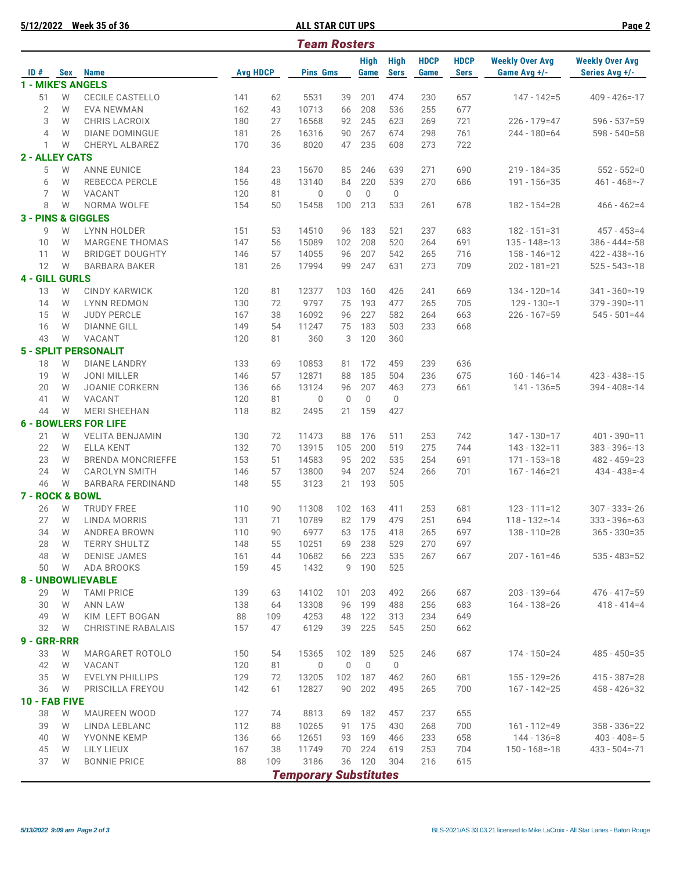**5/12/2022 Week 35 of 36 ALL STAR CUT UPS Page 2**

|                          |     |                               |                 |     | <b>Team Rosters</b>          |              |                     |                            |                     |                            |                                        |                                          |
|--------------------------|-----|-------------------------------|-----------------|-----|------------------------------|--------------|---------------------|----------------------------|---------------------|----------------------------|----------------------------------------|------------------------------------------|
| ID#                      | Sex | <b>Name</b>                   | <b>Avg HDCP</b> |     | <b>Pins Gms</b>              |              | <b>High</b><br>Game | <b>High</b><br><b>Sers</b> | <b>HDCP</b><br>Game | <b>HDCP</b><br><b>Sers</b> | <b>Weekly Over Avg</b><br>Game Avg +/- | <b>Weekly Over Avg</b><br>Series Avg +/- |
| <b>1 - MIKE'S ANGELS</b> |     |                               |                 |     |                              |              |                     |                            |                     |                            |                                        |                                          |
| 51                       | W   | <b>CECILE CASTELLO</b>        | 141             | 62  | 5531                         | 39           | 201                 | 474                        | 230                 | 657                        | $147 - 142 = 5$                        | $409 - 426 = -17$                        |
| $\overline{2}$           | W   | EVA NEWMAN                    | 162             | 43  | 10713                        | 66           | 208                 | 536                        | 255                 | 677                        |                                        |                                          |
| 3                        | W   | CHRIS LACROIX                 | 180             | 27  | 16568                        | 92           | 245                 | 623                        | 269                 | 721                        | $226 - 179 = 47$                       | $596 - 537 = 59$                         |
| 4                        | W   | <b>DIANE DOMINGUE</b>         | 181             | 26  | 16316                        | 90           | 267                 | 674                        | 298                 | 761                        | $244 - 180 = 64$                       | $598 - 540 = 58$                         |
| 1                        | W   | CHERYL ALBAREZ                | 170             | 36  | 8020                         | 47           | 235                 | 608                        | 273                 | 722                        |                                        |                                          |
|                          |     |                               |                 |     |                              |              |                     |                            |                     |                            |                                        |                                          |
| <b>2 - ALLEY CATS</b>    |     |                               |                 |     |                              |              |                     |                            |                     |                            |                                        |                                          |
| 5                        | W   | <b>ANNE EUNICE</b>            | 184             | 23  | 15670                        | 85           | 246                 | 639                        | 271                 | 690                        | $219 - 184 = 35$                       | $552 - 552=0$                            |
| 6                        | W   | <b>REBECCA PERCLE</b>         | 156             | 48  | 13140                        | 84           | 220                 | 539                        | 270                 | 686                        | $191 - 156 = 35$                       | $461 - 468 = -7$                         |
| 7                        | W   | VACANT                        | 120             | 81  | $\theta$                     | $\mathbf{0}$ | $\Omega$            | $\mathbf 0$                |                     |                            |                                        |                                          |
| 8                        | W   | NORMA WOLFE                   | 154             | 50  | 15458                        | 100          | 213                 | 533                        | 261                 | 678                        | $182 - 154 = 28$                       | $466 - 462 = 4$                          |
|                          |     | <b>3 - PINS &amp; GIGGLES</b> |                 |     |                              |              |                     |                            |                     |                            |                                        |                                          |
| 9                        | W   | <b>LYNN HOLDER</b>            | 151             | 53  | 14510                        | 96           | 183                 | 521                        | 237                 | 683                        | $182 - 151 = 31$                       | $457 - 453 = 4$                          |
| 10                       | W   | <b>MARGENE THOMAS</b>         | 147             | 56  | 15089                        | 102          | 208                 | 520                        | 264                 | 691                        | $135 - 148 = -13$                      | $386 - 444 = -58$                        |
| 11                       | W   | <b>BRIDGET DOUGHTY</b>        | 146             | 57  | 14055                        | 96           | 207                 | 542                        | 265                 | 716                        | $158 - 146 = 12$                       | $422 - 438 = -16$                        |
| 12                       | W   | <b>BARBARA BAKER</b>          | 181             | 26  | 17994                        | 99           | 247                 | 631                        | 273                 | 709                        | $202 - 181 = 21$                       | $525 - 543 = -18$                        |
| <b>4 - GILL GURLS</b>    |     |                               |                 |     |                              |              |                     |                            |                     |                            |                                        |                                          |
|                          |     |                               |                 |     |                              |              |                     |                            |                     |                            |                                        |                                          |
| 13                       | W   | <b>CINDY KARWICK</b>          | 120             | 81  | 12377                        | 103          | 160                 | 426                        | 241                 | 669                        | $134 - 120 = 14$                       | $341 - 360 = -19$                        |
| 14                       | W   | <b>LYNN REDMON</b>            | 130             | 72  | 9797                         | 75           | 193                 | 477                        | 265                 | 705                        | $129 - 130 = -1$                       | $379 - 390 = -11$                        |
| 15                       | W   | <b>JUDY PERCLE</b>            | 167             | 38  | 16092                        | 96           | 227                 | 582                        | 264                 | 663                        | $226 - 167 = 59$                       | $545 - 501 = 44$                         |
| 16                       | W   | <b>DIANNE GILL</b>            | 149             | 54  | 11247                        | 75           | 183                 | 503                        | 233                 | 668                        |                                        |                                          |
| 43                       | W   | VACANT                        | 120             | 81  | 360                          | 3            | 120                 | 360                        |                     |                            |                                        |                                          |
|                          |     | <b>5 - SPLIT PERSONALIT</b>   |                 |     |                              |              |                     |                            |                     |                            |                                        |                                          |
| 18                       | W   | <b>DIANE LANDRY</b>           | 133             | 69  | 10853                        | 81           | 172                 | 459                        | 239                 | 636                        |                                        |                                          |
| 19                       | W   | <b>JONI MILLER</b>            | 146             | 57  | 12871                        | 88           | 185                 | 504                        | 236                 | 675                        | $160 - 146 = 14$                       | $423 - 438 = -15$                        |
| 20                       | W   | <b>JOANIE CORKERN</b>         | 136             | 66  | 13124                        | 96           | 207                 | 463                        | 273                 | 661                        | $141 - 136 = 5$                        | $394 - 408 = -14$                        |
| 41                       | W   | VACANT                        | 120             | 81  | $\mathbf 0$                  | $\mathbf{0}$ | $\Omega$            | $\mathbf 0$                |                     |                            |                                        |                                          |
| 44                       | W   | <b>MERI SHEEHAN</b>           | 118             | 82  | 2495                         | 21           | 159                 | 427                        |                     |                            |                                        |                                          |
|                          |     | <b>6 - BOWLERS FOR LIFE</b>   |                 |     |                              |              |                     |                            |                     |                            |                                        |                                          |
|                          |     |                               |                 |     |                              |              |                     |                            |                     |                            |                                        |                                          |
| 21                       | W   | <b>VELITA BENJAMIN</b>        | 130             | 72  | 11473                        | 88           | 176                 | 511                        | 253                 | 742                        | $147 - 130 = 17$                       | $401 - 390 = 11$                         |
| 22                       | W   | <b>ELLA KENT</b>              | 132             | 70  | 13915                        | 105          | 200                 | 519                        | 275                 | 744                        | $143 - 132 = 11$                       | $383 - 396 = -13$                        |
| 23                       | W   | <b>BRENDA MONCRIEFFE</b>      | 153             | 51  | 14583                        | 95           | 202                 | 535                        | 254                 | 691                        | $171 - 153 = 18$                       | $482 - 459 = 23$                         |
| 24                       | W   | <b>CAROLYN SMITH</b>          | 146             | 57  | 13800                        | 94           | 207                 | 524                        | 266                 | 701                        | $167 - 146 = 21$                       | $434 - 438 = -4$                         |
| 46                       | W   | <b>BARBARA FERDINAND</b>      | 148             | 55  | 3123                         | 21           | 193                 | 505                        |                     |                            |                                        |                                          |
| 7 - ROCK & BOWL          |     |                               |                 |     |                              |              |                     |                            |                     |                            |                                        |                                          |
| 26                       | W   | <b>TRUDY FREE</b>             | 110             | 90  | 11308                        | 102          | 163                 | 411                        | 253                 | 681                        | $123 - 111 = 12$                       | $307 - 333 = -26$                        |
| 27                       | W   | LINDA MORRIS                  | 131             | 71  | 10789                        | 82           | 179                 | 479                        | 251                 | 694                        | $118 - 132 = -14$                      | $333 - 396 = -63$                        |
| 34                       | W   | ANDREA BROWN                  | 110             | 90  | 6977                         | 63           | 175                 | 418                        | 265                 | 697                        | $138 - 110 = 28$                       | 365 - 330=35                             |
| 28                       | W   | <b>TERRY SHULTZ</b>           | 148             | 55  | 10251                        | 69           | 238                 | 529                        | 270                 | 697                        |                                        |                                          |
| 48                       | W   | <b>DENISE JAMES</b>           | 161             | 44  | 10682                        | 66           | 223                 | 535                        | 267                 | 667                        | $207 - 161 = 46$                       | $535 - 483 = 52$                         |
| 50                       | W   | ADA BROOKS                    | 159             | 45  | 1432                         | 9            | 190                 | 525                        |                     |                            |                                        |                                          |
|                          |     |                               |                 |     |                              |              |                     |                            |                     |                            |                                        |                                          |
|                          |     | <b>8 - UNBOWLIEVABLE</b>      |                 |     |                              |              |                     |                            |                     |                            |                                        |                                          |
| 29                       | W   | <b>TAMI PRICE</b>             | 139             | 63  | 14102                        | 101          | 203                 | 492                        | 266                 | 687                        | $203 - 139 = 64$                       | $476 - 417 = 59$                         |
| 30                       | W   | <b>ANN LAW</b>                | 138             | 64  | 13308                        | 96           | 199                 | 488                        | 256                 | 683                        | 164 - 138 = 26                         | $418 - 414 = 4$                          |
| 49                       | W   | KIM LEFT BOGAN                | 88              | 109 | 4253                         | 48           | 122                 | 313                        | 234                 | 649                        |                                        |                                          |
| 32                       | W   | <b>CHRISTINE RABALAIS</b>     | 157             | 47  | 6129                         | 39           | 225                 | 545                        | 250                 | 662                        |                                        |                                          |
| 9 - GRR-RRR              |     |                               |                 |     |                              |              |                     |                            |                     |                            |                                        |                                          |
| 33                       | W   | <b>MARGARET ROTOLO</b>        | 150             | 54  | 15365                        | 102          | 189                 | 525                        | 246                 | 687                        | $174 - 150 = 24$                       | $485 - 450 = 35$                         |
| 42                       | W   | VACANT                        | 120             | 81  | $\mathbf 0$                  | $\mathbf{0}$ | $\mathbf 0$         | $\mathbf 0$                |                     |                            |                                        |                                          |
| 35                       | W   | <b>EVELYN PHILLIPS</b>        | 129             | 72  | 13205                        | 102          | 187                 | 462                        | 260                 | 681                        | 155 - 129 = 26                         | $415 - 387 = 28$                         |
| 36                       | W   | PRISCILLA FREYOU              | 142             | 61  | 12827                        | 90           | 202                 | 495                        | 265                 | 700                        | $167 - 142 = 25$                       | $458 - 426 = 32$                         |
|                          |     |                               |                 |     |                              |              |                     |                            |                     |                            |                                        |                                          |
| 10 - FAB FIVE            |     |                               |                 |     |                              |              |                     |                            |                     |                            |                                        |                                          |
| 38                       | W   | MAUREEN WOOD                  | 127             | 74  | 8813                         | 69           | 182                 | 457                        | 237                 | 655                        |                                        |                                          |
| 39                       | W   | LINDA LEBLANC                 | 112             | 88  | 10265                        | 91           | 175                 | 430                        | 268                 | 700                        | $161 - 112 = 49$                       | $358 - 336 = 22$                         |
| 40                       | W   | YVONNE KEMP                   | 136             | 66  | 12651                        | 93           | 169                 | 466                        | 233                 | 658                        | 144 - 136 = 8                          | $403 - 408 = -5$                         |
| 45                       | W   | LILY LIEUX                    | 167             | 38  | 11749                        | 70           | 224                 | 619                        | 253                 | 704                        | $150 - 168 = -18$                      | $433 - 504 = -71$                        |
| 37                       | W   | <b>BONNIE PRICE</b>           | 88              | 109 | 3186                         | 36           | 120                 | 304                        | 216                 | 615                        |                                        |                                          |
|                          |     |                               |                 |     | <b>Temporary Substitutes</b> |              |                     |                            |                     |                            |                                        |                                          |
|                          |     |                               |                 |     |                              |              |                     |                            |                     |                            |                                        |                                          |